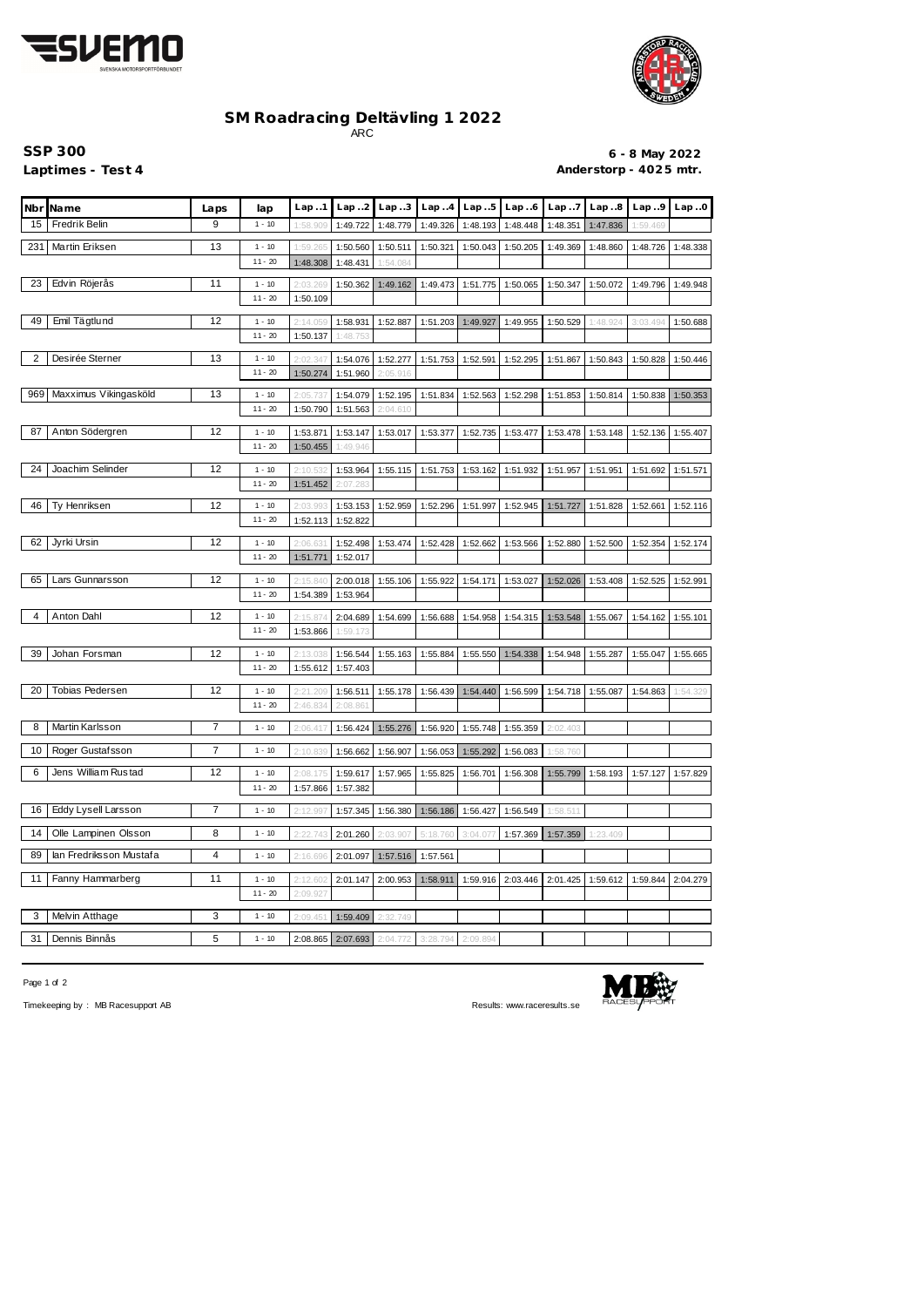



## **SM Roadracing Deltävling 1 2022** ARC

**SSP 300 6 - 8 May 2022** Laptimes - Test 4 **Anderstorp - 4025 mtr.** 

|     | Nbr Name                | Laps           | lap                   | Lap.1                                                                                                           | Lap.2                | Lap.3                                        | Lap.4    | Lap.5             | Lap.6             | Lap.7    | Lap.8    | Lap.9    | Lap.0    |
|-----|-------------------------|----------------|-----------------------|-----------------------------------------------------------------------------------------------------------------|----------------------|----------------------------------------------|----------|-------------------|-------------------|----------|----------|----------|----------|
| 15  | Fredrik Belin           | 9              | $1 - 10$              | 1:58.90                                                                                                         | 1:49.722             | 1:48.779                                     | 1:49.326 | 1:48.193          | 1:48.448          | 1:48.351 | 1:47.836 | 1:59.469 |          |
| 231 | Martin Eriksen          | 13             | $1 - 10$              | 1:59.265                                                                                                        | 1:50.560             | 1:50.511                                     | 1:50.321 | 1:50.043          | 1:50.205          | 1:49.369 | 1:48.860 | 1:48.726 | 1:48.338 |
|     |                         |                | $11 - 20$             | 1:48.308                                                                                                        | 1:48.431             | 1:54.084                                     |          |                   |                   |          |          |          |          |
| 23  | Edvin Röjerås           | 11             | $1 - 10$              | 2:03.26                                                                                                         | 1:50.362             | 1:49.162                                     | 1:49.473 | 1:51.775          | 1:50.065          | 1:50.347 | 1:50.072 | 1:49.796 | 1:49.948 |
|     |                         |                | $11 - 20$             | 1:50.109                                                                                                        |                      |                                              |          |                   |                   |          |          |          |          |
| 49  | Emil Tägtlund           | 12             | $1 - 10$              | 2:14.05                                                                                                         | 1:58.931             | 1:52.887                                     | 1:51.203 | 1:49.927          | 1:49.955          | 1:50.529 | 1:48.924 | 3:03.494 | 1:50.688 |
|     |                         |                | $11 - 20$             | 1:50.137                                                                                                        | 1:48.753             |                                              |          |                   |                   |          |          |          |          |
| 2   | Desirée Sterner         | 13             | $1 - 10$              | 2:02.34                                                                                                         |                      |                                              |          |                   |                   |          |          |          |          |
|     |                         |                | $11 - 20$             | 1:50.274                                                                                                        | 1:54.076<br>1:51.960 | 1:52.277<br>2:05.916                         | 1:51.753 | 1:52.591          | 1:52.295          | 1:51.867 | 1:50.843 | 1:50.828 | 1:50.446 |
| 969 | Maxximus Vikingasköld   | 13             |                       |                                                                                                                 |                      |                                              |          |                   |                   |          |          |          |          |
|     |                         |                | $1 - 10$<br>$11 - 20$ | 2:05.73<br>1:50.790                                                                                             | 1:54.079<br>1:51.563 | 1:52.195<br>2:04.610                         | 1:51.834 | 1:52.563          | 1:52.298          | 1:51.853 | 1:50.814 | 1:50.838 | 1:50.353 |
|     |                         |                |                       |                                                                                                                 |                      |                                              |          |                   |                   |          |          |          |          |
| 87  | Anton Södergren         | 12             | $1 - 10$<br>$11 - 20$ | 1:53.871<br>1:50.455                                                                                            | 1:53.147<br>1:49.946 | 1:53.017                                     | 1:53.377 | 1:52.735          | 1:53.477          | 1:53.478 | 1:53.148 | 1:52.136 | 1:55.407 |
|     |                         |                |                       |                                                                                                                 |                      |                                              |          |                   |                   |          |          |          |          |
| 24  | Joachim Selinder        | 12             | $1 - 10$              | 2:10.5                                                                                                          | 1:53.964             | 1:55.115                                     | 1:51.753 | 1:53.162          | 1:51.932          | 1:51.957 | 1:51.951 | 1:51.692 | 1:51.571 |
|     |                         |                | $11 - 20$             | 1:51.452                                                                                                        | 2:07.283             |                                              |          |                   |                   |          |          |          |          |
| 46  | Ty Henriksen            | 12             | $1 - 10$              | 2:03.99                                                                                                         | 1:53.153             | 1:52.959                                     | 1:52.296 | 1:51.997          | 1:52.945          | 1:51.727 | 1:51.828 | 1:52.661 | 1:52.116 |
|     |                         |                | $11 - 20$             | 1:52.113                                                                                                        | 1:52.822             |                                              |          |                   |                   |          |          |          |          |
| 62  | Jyrki Ursin             | 12             | $1 - 10$              | 2:06.63                                                                                                         | 1:52.498             | 1:53.474                                     | 1:52.428 | 1:52.662          | 1:53.566          | 1:52.880 | 1:52.500 | 1:52.354 | 1:52.174 |
|     |                         |                | $11 - 20$             | 1:51.771                                                                                                        | 1:52.017             |                                              |          |                   |                   |          |          |          |          |
| 65  | Lars Gunnarsson         | 12             | $1 - 10$              | 2:15.84                                                                                                         | 2:00.018             | 1:55.106                                     | 1:55.922 | 1:54.171          | 1:53.027          | 1:52.026 | 1:53.408 | 1:52.525 | 1:52.991 |
|     |                         |                | $11 - 20$             | 1:54.389                                                                                                        | 1:53.964             |                                              |          |                   |                   |          |          |          |          |
| 4   | Anton Dahl              | 12             | $1 - 10$              | 2:15.87                                                                                                         | 2:04.689             | 1:54.699                                     | 1:56.688 | 1:54.958          | 1:54.315          | 1:53.548 | 1:55.067 | 1:54.162 | 1:55.101 |
|     |                         |                | $11 - 20$             | 1:53.866                                                                                                        | 1:59.173             |                                              |          |                   |                   |          |          |          |          |
| 39  | Johan Forsman           | 12             | $1 - 10$              | 2:13.03                                                                                                         | 1:56.544             | 1:55.163                                     | 1:55.884 | 1:55.550          | 1:54.338          | 1:54.948 | 1:55.287 | 1:55.047 | 1:55.665 |
|     |                         |                | $11 - 20$             | 1:55.612                                                                                                        | 1:57.403             |                                              |          |                   |                   |          |          |          |          |
| 20  | Tobias Pedersen         | 12             | $1 - 10$              | 2:21.209                                                                                                        | 1:56.511             | 1:55.178                                     | 1:56.439 | 1:54.440          | 1:56.599          | 1:54.718 | 1:55.087 | 1:54.863 | 1:54.329 |
|     |                         |                | $11 - 20$             | 2:46.834                                                                                                        | 2:08.861             |                                              |          |                   |                   |          |          |          |          |
| 8   | Martin Karlsson         | 7              | $1 - 10$              | 2:06.417                                                                                                        | 1:56.424             | 1:55.276                                     | 1:56.920 | 1:55.748          | 1:55.359          | 2:02.403 |          |          |          |
|     |                         |                |                       |                                                                                                                 |                      |                                              |          |                   |                   |          |          |          |          |
|     | 10 Roger Gustafsson     | 7              | $1 - 10$              | $\mid$ 2:10.839 $\mid$ 1:56.662 $\mid$ 1:56.907 $\mid$ 1:56.053 $\mid$ 1:55.292 $\mid$ 1:56.083 $\mid$ 1:58.760 |                      |                                              |          |                   |                   |          |          |          |          |
| 6   | Jens William Rustad     | 12             | $1 - 10$              | 2:08.175                                                                                                        | 1:59.617             | 1:57.965                                     | 1:55.825 | 1:56.701          | 1:56.308          | 1:55.799 | 1:58.193 | 1:57.127 | 1:57.829 |
|     |                         |                | $11 - 20$             | 1:57.866                                                                                                        | 1:57.382             |                                              |          |                   |                   |          |          |          |          |
| 16  | Eddy Lysell Larsson     | $\overline{7}$ | $1 - 10$              | 2:12.997                                                                                                        | 1:57.345             | 1:56.380                                     |          | 1:56.186 1:56.427 | 1:56.549          | 1:58.511 |          |          |          |
| 14  | Olle Lampinen Olsson    | 8              | $1 - 10$              | 2:22.743                                                                                                        | 2:01.260             | 2:03.907                                     | 5:18.760 | 3:04.07           | 1:57.369          | 1:57.359 | 1:23.409 |          |          |
|     |                         |                |                       |                                                                                                                 |                      |                                              |          |                   |                   |          |          |          |          |
| 89  | lan Fredriksson Mustafa | 4              | $1 - 10$              | 2:16.696                                                                                                        | 2:01.097             | 1:57.516                                     | 1:57.561 |                   |                   |          |          |          |          |
| 11  | Fanny Hammarberg        | 11             | $1 - 10$              | 2:12.60                                                                                                         | 2:01.147             | 2:00.953                                     | 1:58.911 |                   | 1:59.916 2:03.446 | 2:01.425 | 1:59.612 | 1:59.844 | 2:04.279 |
|     |                         |                | $11 - 20$             | 2:09.927                                                                                                        |                      |                                              |          |                   |                   |          |          |          |          |
| 3   | Melvin Atthage          | 3              | $1 - 10$              | 2:09.451                                                                                                        |                      | 1:59.409 2:32.749                            |          |                   |                   |          |          |          |          |
| 31  | Dennis Binnås           | 5              | $1 - 10$              |                                                                                                                 |                      | 2:08.865 2:07.693 2:04.772 3:28.794 2:09.894 |          |                   |                   |          |          |          |          |
|     |                         |                |                       |                                                                                                                 |                      |                                              |          |                   |                   |          |          |          |          |

Page 1 of 2



Timekeeping by : MB Racesupport AB Results: <www.raceresults.se>